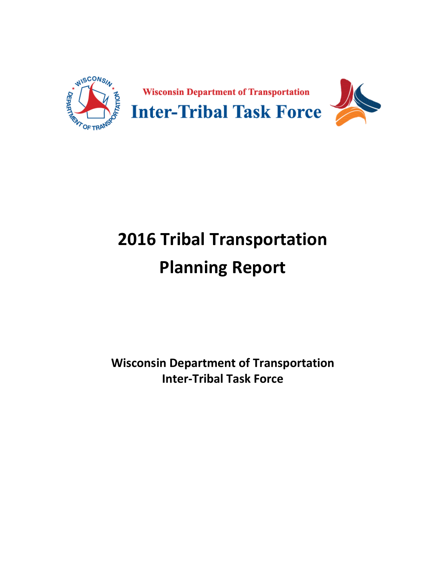

# **2016 Tribal Transportation Planning Report**

**Wisconsin Department of Transportation Inter-Tribal Task Force**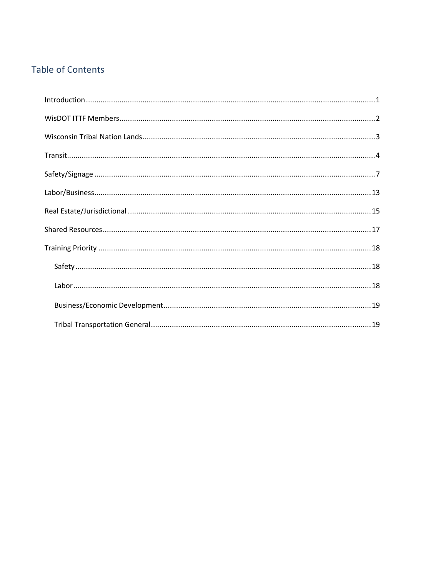# **Table of Contents**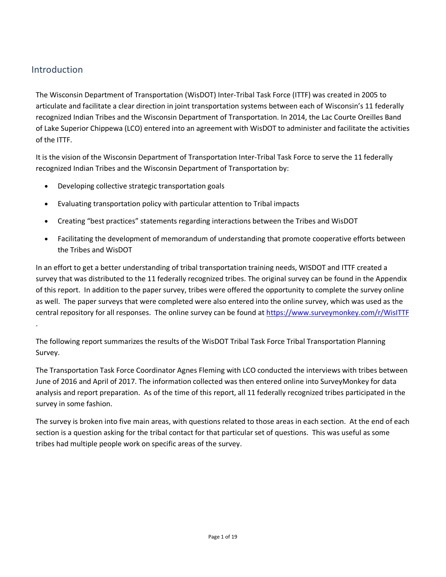# Introduction

The Wisconsin Department of Transportation (WisDOT) Inter-Tribal Task Force (ITTF) was created in 2005 to articulate and facilitate a clear direction in joint transportation systems between each of Wisconsin's 11 federally recognized Indian Tribes and the Wisconsin Department of Transportation. In 2014, the Lac Courte Oreilles Band of Lake Superior Chippewa (LCO) entered into an agreement with WisDOT to administer and facilitate the activities of the ITTF.

It is the vision of the Wisconsin Department of Transportation Inter-Tribal Task Force to serve the 11 federally recognized Indian Tribes and the Wisconsin Department of Transportation by:

- Developing collective strategic transportation goals
- Evaluating transportation policy with particular attention to Tribal impacts
- Creating "best practices" statements regarding interactions between the Tribes and WisDOT
- Facilitating the development of memorandum of understanding that promote cooperative efforts between the Tribes and WisDOT

In an effort to get a better understanding of tribal transportation training needs, WISDOT and ITTF created a survey that was distributed to the 11 federally recognized tribes. The original survey can be found in the Appendix of this report. In addition to the paper survey, tribes were offered the opportunity to complete the survey online as well. The paper surveys that were completed were also entered into the online survey, which was used as the central repository for all responses. The online survey can be found at https://www.surveymonkey.com/r/WisITTF .

The following report summarizes the results of the WisDOT Tribal Task Force Tribal Transportation Planning Survey.

The Transportation Task Force Coordinator Agnes Fleming with LCO conducted the interviews with tribes between June of 2016 and April of 2017. The information collected was then entered online into SurveyMonkey for data analysis and report preparation. As of the time of this report, all 11 federally recognized tribes participated in the survey in some fashion.

The survey is broken into five main areas, with questions related to those areas in each section. At the end of each section is a question asking for the tribal contact for that particular set of questions. This was useful as some tribes had multiple people work on specific areas of the survey.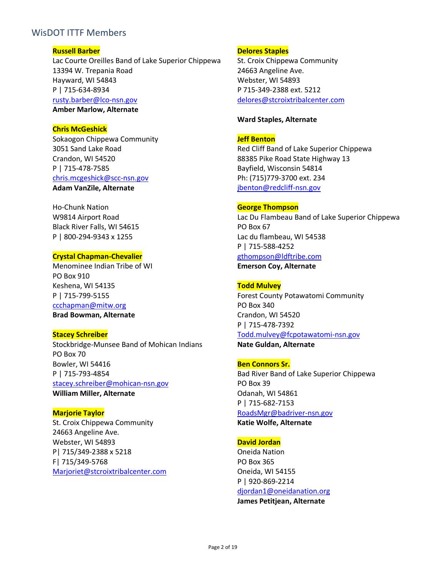## WisDOT ITTF Members

#### **Russell Barber**

Lac Courte Oreilles Band of Lake Superior Chippewa 13394 W. Trepania Road Hayward, WI 54843 P | 715-634-8934 rusty.barber@lco-nsn.gov **Amber Marlow, Alternate** 

#### **Chris McGeshick**

Sokaogon Chippewa Community 3051 Sand Lake Road Crandon, WI 54520 P | 715-478-7585 chris.mcgeshick@scc-nsn.gov **Adam VanZile, Alternate**

Ho-Chunk Nation W9814 Airport Road Black River Falls, WI 54615 P | 800-294-9343 x 1255

## **Crystal Chapman-Chevalier**

Menominee Indian Tribe of WI PO Box 910 Keshena, WI 54135 P | 715-799-5155 ccchapman@mitw.org **Brad Bowman, Alternate**

#### **Stacey Schreiber**

Stockbridge-Munsee Band of Mohican Indians PO Box 70 Bowler, WI 54416 P | 715-793-4854 stacey.schreiber@mohican-nsn.gov **William Miller, Alternate**

**Marjorie Taylor**  St. Croix Chippewa Community 24663 Angeline Ave. Webster, WI 54893 P| 715/349-2388 x 5218 F| 715/349-5768 Marjoriet@stcroixtribalcenter.com

#### **Delores Staples**

St. Croix Chippewa Community 24663 Angeline Ave. Webster, WI 54893 P 715-349-2388 ext. 5212 delores@stcroixtribalcenter.com

#### **Ward Staples, Alternate**

#### **Jeff Benton**

Red Cliff Band of Lake Superior Chippewa 88385 Pike Road State Highway 13 Bayfield, Wisconsin 54814 Ph: (715)779-3700 ext. 234 jbenton@redcliff-nsn.gov

#### **George Thompson**

Lac Du Flambeau Band of Lake Superior Chippewa PO Box 67 Lac du flambeau, WI 54538 P | 715-588-4252 gthompson@ldftribe.com **Emerson Coy, Alternate** 

#### **Todd Mulvey**

Forest County Potawatomi Community PO Box 340 Crandon, WI 54520 P | 715-478-7392 Todd.mulvey@fcpotawatomi-nsn.gov

**Nate Guldan, Alternate** 

#### **Ben Connors Sr.**

Bad River Band of Lake Superior Chippewa PO Box 39 Odanah, WI 54861 P | 715-682-7153 RoadsMgr@badriver-nsn.gov **Katie Wolfe, Alternate** 

## **David Jordan**

Oneida Nation PO Box 365 Oneida, WI 54155 P | 920-869-2214 djordan1@oneidanation.org **James Petitjean, Alternate**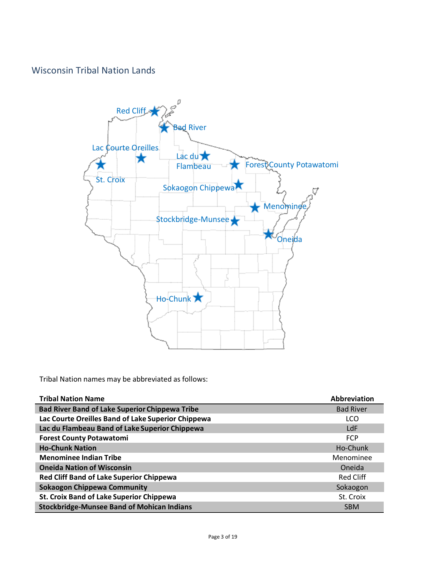# Wisconsin Tribal Nation Lands



Tribal Nation names may be abbreviated as follows:

| <b>Tribal Nation Name</b>                             | <b>Abbreviation</b> |
|-------------------------------------------------------|---------------------|
| <b>Bad River Band of Lake Superior Chippewa Tribe</b> | <b>Bad River</b>    |
| Lac Courte Oreilles Band of Lake Superior Chippewa    | LCO                 |
| Lac du Flambeau Band of Lake Superior Chippewa        | LdF                 |
| <b>Forest County Potawatomi</b>                       | <b>FCP</b>          |
| <b>Ho-Chunk Nation</b>                                | Ho-Chunk            |
| <b>Menominee Indian Tribe</b>                         | Menominee           |
| <b>Oneida Nation of Wisconsin</b>                     | Oneida              |
| <b>Red Cliff Band of Lake Superior Chippewa</b>       | Red Cliff           |
| <b>Sokaogon Chippewa Community</b>                    | Sokaogon            |
| <b>St. Croix Band of Lake Superior Chippewa</b>       | St. Croix           |
| <b>Stockbridge-Munsee Band of Mohican Indians</b>     | <b>SBM</b>          |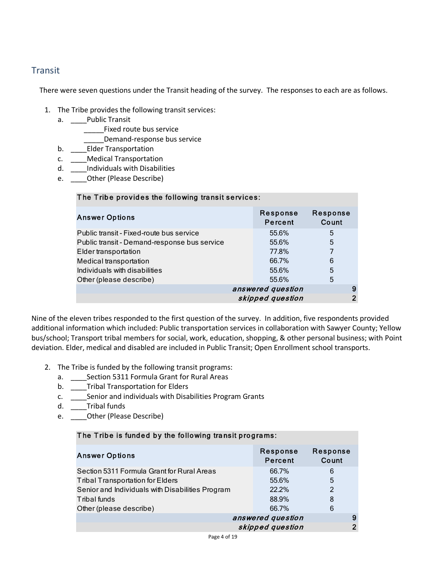## **Transit**

There were seven questions under the Transit heading of the survey. The responses to each are as follows.

- 1. The Tribe provides the following transit services:
	- a. \_\_\_\_Public Transit
		- Fixed route bus service
		- \_\_\_\_\_Demand-response bus service
	- b. \_\_\_\_Elder Transportation
	- c. \_\_\_\_Medical Transportation
	- d. \_\_\_\_Individuals with Disabilities
	- e. \_\_\_\_Other (Please Describe)

| The Tribe provides the following transit services: |                     |                   |
|----------------------------------------------------|---------------------|-------------------|
| <b>Answer Options</b>                              | Response<br>Percent | Response<br>Count |
| Public transit - Fixed-route bus service           | 55.6%               | 5                 |
| Public transit - Demand-response bus service       | 55.6%               | 5                 |
| Elder transportation                               | 77.8%               |                   |
| Medical transportation                             | 66.7%               | 6                 |
| Individuals with disabilities                      | 55.6%               | 5                 |
| Other (please describe)                            | 55.6%               | 5                 |
| answered question<br>9                             |                     |                   |
|                                                    | skipped question    | ົ                 |

Nine of the eleven tribes responded to the first question of the survey. In addition, five respondents provided additional information which included: Public transportation services in collaboration with Sawyer County; Yellow bus/school; Transport tribal members for social, work, education, shopping, & other personal business; with Point deviation. Elder, medical and disabled are included in Public Transit; Open Enrollment school transports.

- 2. The Tribe is funded by the following transit programs:
	- a. \_\_\_\_Section 5311 Formula Grant for Rural Areas
	- b. \_\_\_\_Tribal Transportation for Elders
	- c. \_\_\_\_Senior and individuals with Disabilities Program Grants
	- d. \_\_\_\_Tribal funds
	- e. \_\_\_\_Other (Please Describe)

#### The Tribe is funded by the following transit programs:

| <b>Answer Options</b>                            | Response<br><b>Percent</b> | Response<br>Count |
|--------------------------------------------------|----------------------------|-------------------|
| Section 5311 Formula Grant for Rural Areas       | 66.7%                      | 6                 |
| <b>Tribal Transportation for Elders</b>          | 55.6%                      | 5                 |
| Senior and Individuals with Disabilities Program | 22.2%                      | $\mathcal{P}$     |
| Tribal funds                                     | 88.9%                      | 8                 |
| Other (please describe)                          | 66.7%                      | 6                 |
|                                                  | answered question          | 9                 |
|                                                  | skipped question           | າ                 |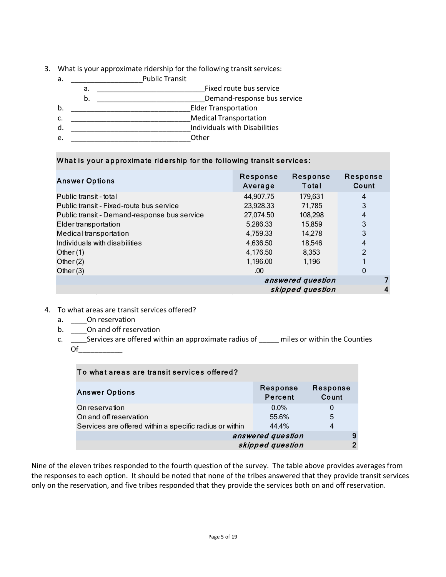- 3. What is your approximate ridership for the following transit services:
	- a. \_\_\_\_\_\_\_\_\_\_\_\_\_\_\_\_\_\_Public Transit a. \_\_\_\_\_\_\_\_\_\_\_\_\_\_\_\_\_\_\_\_\_\_\_\_\_\_\_Fixed route bus service b. \_\_\_\_\_\_\_\_\_\_\_\_\_\_\_\_\_\_\_\_\_\_\_\_\_\_\_Demand-response bus service b. \_\_\_\_\_\_\_\_\_\_\_\_\_\_\_\_\_\_\_\_\_\_\_\_\_\_\_\_\_\_Elder Transportation c. \_\_\_\_\_\_\_\_\_\_\_\_\_\_\_\_\_\_\_\_\_\_\_\_\_\_\_\_\_\_Medical Transportation d. \_\_\_\_\_\_\_\_\_\_\_\_\_\_\_\_\_\_\_\_\_\_\_\_\_\_\_\_\_\_Individuals with Disabilities e. <u>Denote the contract of the contract of the contract of the contract of the contract of the contract of the contract of the contract of the contract of the contract of the contract of the contract of the contract of the</u>

### What is your approximate ridership for the following transit services:

| <b>Answer Options</b>                        | Response<br>Average | Response<br>Total | Response<br>Count |
|----------------------------------------------|---------------------|-------------------|-------------------|
| Public transit - total                       | 44,907.75           | 179,631           | 4                 |
| Public transit - Fixed-route bus service     | 23,928.33           | 71.785            | 3                 |
| Public transit - Demand-response bus service | 27,074.50           | 108,298           | 4                 |
| Elder transportation                         | 5,286.33            | 15.859            | 3                 |
| Medical transportation                       | 4,759.33            | 14,278            | 3                 |
| Individuals with disabilities                | 4,636.50            | 18,546            | 4                 |
| Other $(1)$                                  | 4,176.50            | 8,353             | $\mathcal{P}$     |
| Other $(2)$                                  | 1,196.00            | 1,196             |                   |
| Other $(3)$                                  | .00.                |                   | $\mathbf 0$       |
|                                              | answered question   |                   |                   |
|                                              | skipped question    |                   |                   |

- 4. To what areas are transit services offered?
	- a. \_\_\_\_\_On reservation
	- b. \_\_\_\_\_On and off reservation
	- c. \_\_\_\_\_Services are offered within an approximate radius of \_\_\_\_\_ miles or within the Counties  $Of$

| To what areas are transit services offered?             |                     |                   |
|---------------------------------------------------------|---------------------|-------------------|
| <b>Answer Options</b>                                   | Response<br>Percent | Response<br>Count |
| On reservation                                          | $0.0\%$             | $\Omega$          |
| On and off reservation                                  | 55.6%               | 5                 |
| Services are offered within a specific radius or within | 44.4%               | 4                 |
| answered question                                       |                     | 9                 |
|                                                         | skipped question    |                   |

Nine of the eleven tribes responded to the fourth question of the survey. The table above provides averages from the responses to each option. It should be noted that none of the tribes answered that they provide transit services only on the reservation, and five tribes responded that they provide the services both on and off reservation.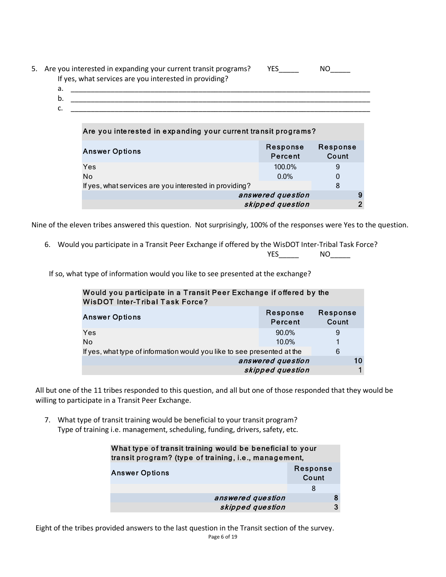|    | 5. Are you interested in expanding your current transit programs?<br>If yes, what services are you interested in providing? | <b>YES</b> |  |
|----|-----------------------------------------------------------------------------------------------------------------------------|------------|--|
| а. |                                                                                                                             |            |  |
| b. |                                                                                                                             |            |  |
| J. |                                                                                                                             |            |  |
|    |                                                                                                                             |            |  |

| Are you interested in expanding your current transit programs? |                     |                   |
|----------------------------------------------------------------|---------------------|-------------------|
| <b>Answer Options</b>                                          | Response<br>Percent | Response<br>Count |
| Yes                                                            | 100.0%              | 9                 |
| No                                                             | $0.0\%$             | 0                 |
| If yes, what services are you interested in providing?         |                     | 8                 |
| answered question                                              |                     | 9                 |
| skipped question                                               |                     |                   |

Nine of the eleven tribes answered this question. Not surprisingly, 100% of the responses were Yes to the question.

6. Would you participate in a Transit Peer Exchange if offered by the WisDOT Inter-Tribal Task Force? YES\_\_\_\_\_ NO\_\_\_\_\_

If so, what type of information would you like to see presented at the exchange?

| Would you participate in a Transit Peer Exchange if offered by the<br><b>WisDOT Inter-Tribal Task Force?</b> |                     |                   |
|--------------------------------------------------------------------------------------------------------------|---------------------|-------------------|
| <b>Answer Options</b>                                                                                        | Response<br>Percent | Response<br>Count |
| Yes                                                                                                          | 90.0%               | 9                 |
| No<br>If yes, what type of information would you like to see presented at the                                | $10.0\%$            | 6                 |
|                                                                                                              | answered question   | 10                |
|                                                                                                              | skipped question    |                   |

All but one of the 11 tribes responded to this question, and all but one of those responded that they would be willing to participate in a Transit Peer Exchange.

7. What type of transit training would be beneficial to your transit program? Type of training i.e. management, scheduling, funding, drivers, safety, etc.

| What type of transit training would be beneficial to your<br>transit program? (type of training, i.e., management, |   |  |
|--------------------------------------------------------------------------------------------------------------------|---|--|
| Response<br><b>Answer Options</b><br>Count                                                                         |   |  |
|                                                                                                                    | 8 |  |
| answered question                                                                                                  |   |  |
| skipped question                                                                                                   |   |  |

Page 6 of 19 Eight of the tribes provided answers to the last question in the Transit section of the survey.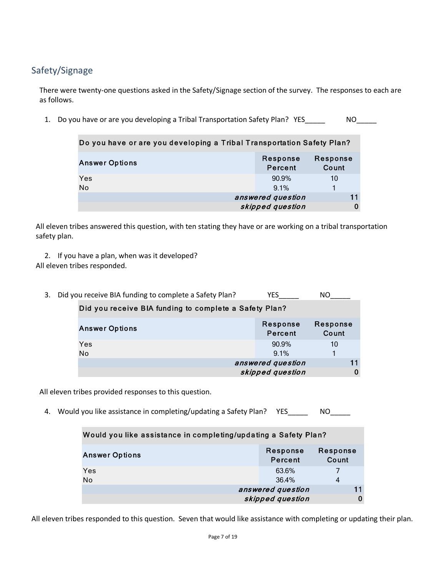# Safety/Signage

There were twenty-one questions asked in the Safety/Signage section of the survey. The responses to each are as follows.

1. Do you have or are you developing a Tribal Transportation Safety Plan? YES\_\_\_\_\_ MO\_\_\_

| Do you have or are you developing a Tribal Transportation Safety Plan? |                                       |                   |   |
|------------------------------------------------------------------------|---------------------------------------|-------------------|---|
| <b>Answer Options</b>                                                  | Response<br>Percent                   | Response<br>Count |   |
| Yes<br>No                                                              | $90.9\%$<br>9.1%                      | 10                |   |
|                                                                        | answered question<br>skipped question | 11                | 0 |

All eleven tribes answered this question, with ten stating they have or are working on a tribal transportation safety plan.

- 2. If you have a plan, when was it developed? All eleven tribes responded.
	- 3. Did you receive BIA funding to complete a Safety Plan? YES\_\_\_\_\_ NO\_\_\_\_ Response Percent Response Count 90.9% 10 9.1% 1 11 skipped question and  $0$ Did you receive BIA funding to complete a Safe ty Plan? Answer Op tions Yes No answered question

All eleven tribes provided responses to this question.

4. Would you like assistance in completing/updating a Safety Plan? YES\_\_\_\_\_\_\_ NO

| Would you like assistance in completing/updating a Safety Plan? |                     |                   |  |
|-----------------------------------------------------------------|---------------------|-------------------|--|
| <b>Answer Options</b>                                           | Response<br>Percent | Response<br>Count |  |
| Yes                                                             | 63.6%               |                   |  |
| No                                                              | 36.4%               | 4                 |  |
|                                                                 | answered question   |                   |  |
|                                                                 | skipped question    |                   |  |

All eleven tribes responded to this question. Seven that would like assistance with completing or updating their plan.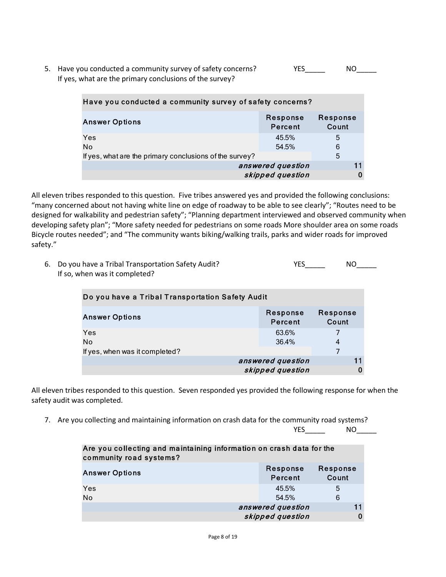5. Have you conducted a community survey of safety concerns? The MO If yes, what are the primary conclusions of the survey?

| Have you conducted a community survey of safety concerns?         |                  |   |  |  |
|-------------------------------------------------------------------|------------------|---|--|--|
| Response<br>Response<br><b>Answer Options</b><br>Count<br>Percent |                  |   |  |  |
| Yes                                                               | 45.5%            | 5 |  |  |
| No                                                                | 54.5%            | 6 |  |  |
| 5<br>If yes, what are the primary conclusions of the survey?      |                  |   |  |  |
| answered question                                                 |                  |   |  |  |
|                                                                   | skipped question |   |  |  |

All eleven tribes responded to this question. Five tribes answered yes and provided the following conclusions: "many concerned about not having white line on edge of roadway to be able to see clearly"; "Routes need to be designed for walkability and pedestrian safety"; "Planning department interviewed and observed community when developing safety plan"; "More safety needed for pedestrians on some roads More shoulder area on some roads Bicycle routes needed"; and "The community wants biking/walking trails, parks and wider roads for improved safety."

| 6. Do you have a Tribal Transportation Safety Audit? | <b>YES</b> | NO |
|------------------------------------------------------|------------|----|
| If so, when was it completed?                        |            |    |

| Do you have a Tribal Transportation Safety Audit                  |                   |   |  |  |
|-------------------------------------------------------------------|-------------------|---|--|--|
| Response<br>Response<br><b>Answer Options</b><br>Count<br>Percent |                   |   |  |  |
| Yes<br>No                                                         | 63.6%<br>36.4%    | 4 |  |  |
| If yes, when was it completed?                                    |                   |   |  |  |
|                                                                   | answered question |   |  |  |
|                                                                   | skipped question  |   |  |  |

All eleven tribes responded to this question. Seven responded yes provided the following response for when the safety audit was completed.

7. Are you collecting and maintaining information on crash data for the community road systems?

YES\_\_\_\_\_ NO\_\_\_\_\_

| Are you collecting and maintaining information on crash data for the<br>community road systems? |                                       |                   |  |
|-------------------------------------------------------------------------------------------------|---------------------------------------|-------------------|--|
| <b>Answer Options</b>                                                                           | Response<br>Percent                   | Response<br>Count |  |
| Yes<br><b>No</b>                                                                                | 45.5%<br>54.5%                        | 5<br>6            |  |
|                                                                                                 | answered question<br>skipped question |                   |  |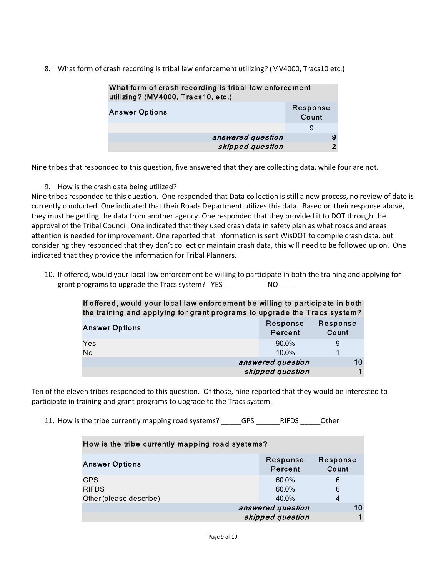8. What form of crash recording is tribal law enforcement utilizing? (MV4000, Tracs10 etc.)

| What form of crash recording is tribal law enforcement<br>utilizing? (MV4000, Tracs10, etc.) |   |  |
|----------------------------------------------------------------------------------------------|---|--|
| Response<br><b>Answer Options</b><br>Count                                                   |   |  |
|                                                                                              | 9 |  |
| answered question                                                                            | 9 |  |
| skipped question                                                                             |   |  |

Nine tribes that responded to this question, five answered that they are collecting data, while four are not.

9. How is the crash data being utilized?

Nine tribes responded to this question. One responded that Data collection is still a new process, no review of date is currently conducted. One indicated that their Roads Department utilizes this data. Based on their response above, they must be getting the data from another agency. One responded that they provided it to DOT through the approval of the Tribal Council. One indicated that they used crash data in safety plan as what roads and areas attention is needed for improvement. One reported that information is sent WisDOT to compile crash data, but considering they responded that they don't collect or maintain crash data, this will need to be followed up on. One indicated that they provide the information for Tribal Planners.

10. If offered, would your local law enforcement be willing to participate in both the training and applying for grant programs to upgrade the Tracs system? YES\_\_\_\_\_\_\_\_\_\_\_\_\_\_\_\_\_\_\_\_\_\_\_\_\_\_\_\_\_\_\_\_\_

| If offered, would your local law enforcement be willing to participate in both<br>the training and applying for grant programs to upgrade the Tracs system? |                     |                     |  |
|-------------------------------------------------------------------------------------------------------------------------------------------------------------|---------------------|---------------------|--|
| <b>Answer Options</b>                                                                                                                                       | Response<br>Percent | Response<br>Count   |  |
| Yes<br>No                                                                                                                                                   | 90.0%<br>10.0%      | 9<br>$\blacksquare$ |  |
|                                                                                                                                                             | answered question   | 10                  |  |
|                                                                                                                                                             | skipped question    |                     |  |

Ten of the eleven tribes responded to this question. Of those, nine reported that they would be interested to participate in training and grant programs to upgrade to the Tracs system.

11. How is the tribe currently mapping road systems? \_\_\_\_\_GPS \_\_\_\_\_\_RIFDS \_\_\_\_\_Other

| How is the tribe currently mapping road systems? |                     |                   |  |
|--------------------------------------------------|---------------------|-------------------|--|
| <b>Answer Options</b>                            | Response<br>Percent | Response<br>Count |  |
| <b>GPS</b>                                       | 60.0%               | 6                 |  |
| <b>RIFDS</b>                                     | 60.0%               | 6                 |  |
| Other (please describe)                          | 40.0%               | 4                 |  |
|                                                  | answered question   | 10                |  |
|                                                  | skipped question    |                   |  |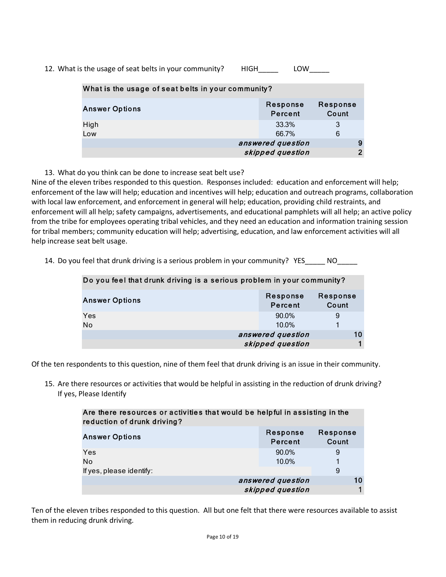12. What is the usage of seat belts in your community? HIGH LOW

| What is the usage of seat belts in your community? |                     |                   |  |
|----------------------------------------------------|---------------------|-------------------|--|
| <b>Answer Options</b>                              | Response<br>Percent | Response<br>Count |  |
| High<br>Low                                        | 33.3%<br>66.7%      | 3<br>6            |  |
|                                                    | answered question   |                   |  |
|                                                    | skipped question    | 2                 |  |

13. What do you think can be done to increase seat belt use?

Nine of the eleven tribes responded to this question. Responses included: education and enforcement will help; enforcement of the law will help; education and incentives will help; education and outreach programs, collaboration with local law enforcement, and enforcement in general will help; education, providing child restraints, and enforcement will all help; safety campaigns, advertisements, and educational pamphlets will all help; an active policy from the tribe for employees operating tribal vehicles, and they need an education and information training session for tribal members; community education will help; advertising, education, and law enforcement activities will all help increase seat belt usage.

|  |  |  |  | 14. Do you feel that drunk driving is a serious problem in your community? YES |  | NO. |
|--|--|--|--|--------------------------------------------------------------------------------|--|-----|
|--|--|--|--|--------------------------------------------------------------------------------|--|-----|

| Do you feel that drunk driving is a serious problem in your community? |                     |                   |  |
|------------------------------------------------------------------------|---------------------|-------------------|--|
| <b>Answer Options</b>                                                  | Response<br>Percent | Response<br>Count |  |
| Yes                                                                    | 90.0%               | 9                 |  |
| No                                                                     | 10.0%               |                   |  |
|                                                                        | answered question   | 10                |  |
|                                                                        | skipped question    |                   |  |

Of the ten respondents to this question, nine of them feel that drunk driving is an issue in their community.

15. Are there resources or activities that would be helpful in assisting in the reduction of drunk driving? If yes, Please Identify

| Are there resources or activities that would be helpful in assisting in the<br>reduction of drunk driving? |                     |                   |
|------------------------------------------------------------------------------------------------------------|---------------------|-------------------|
| <b>Answer Options</b>                                                                                      | Response<br>Percent | Response<br>Count |
| Yes                                                                                                        | 90.0%               | 9                 |
| No                                                                                                         | 10.0%               | 1                 |
| If yes, please identify:                                                                                   |                     | 9                 |
|                                                                                                            | answered question   | 10                |
|                                                                                                            | skipped question    |                   |

Ten of the eleven tribes responded to this question. All but one felt that there were resources available to assist them in reducing drunk driving.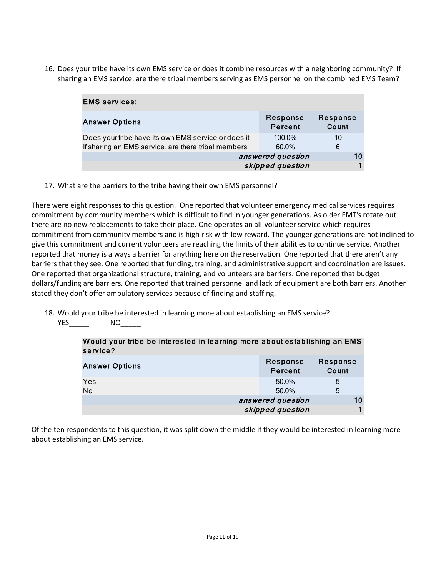16. Does your tribe have its own EMS service or does it combine resources with a neighboring community? If sharing an EMS service, are there tribal members serving as EMS personnel on the combined EMS Team?

| <b>EMS services:</b>                                |                     |                   |
|-----------------------------------------------------|---------------------|-------------------|
| <b>Answer Options</b>                               | Response<br>Percent | Response<br>Count |
| Does your tribe have its own EMS service or does it | 100.0%              | 10                |
| If sharing an EMS service, are there tribal members | 60.0%               | 6                 |
|                                                     | answered question   | 10                |
|                                                     | skipped question    |                   |

17. What are the barriers to the tribe having their own EMS personnel?

There were eight responses to this question. One reported that volunteer emergency medical services requires commitment by community members which is difficult to find in younger generations. As older EMT's rotate out there are no new replacements to take their place. One operates an all-volunteer service which requires commitment from community members and is high risk with low reward. The younger generations are not inclined to give this commitment and current volunteers are reaching the limits of their abilities to continue service. Another reported that money is always a barrier for anything here on the reservation. One reported that there aren't any barriers that they see. One reported that funding, training, and administrative support and coordination are issues. One reported that organizational structure, training, and volunteers are barriers. One reported that budget dollars/funding are barriers. One reported that trained personnel and lack of equipment are both barriers. Another stated they don't offer ambulatory services because of finding and staffing.

18. Would your tribe be interested in learning more about establishing an EMS service? YES\_\_\_\_\_ NO\_\_\_\_\_

| would your tribe be interested in learning more about establishing an EMS<br>service? |                     |                   |
|---------------------------------------------------------------------------------------|---------------------|-------------------|
| <b>Answer Options</b>                                                                 | Response<br>Percent | Response<br>Count |
| Yes                                                                                   | 50.0%               | 5                 |
| No                                                                                    | 50.0%               | 5                 |
|                                                                                       | answered question   | 10                |
|                                                                                       | skipped question    |                   |

Would your tribe b e interested in learning more about establishing a n EMS

Of the ten respondents to this question, it was split down the middle if they would be interested in learning more about establishing an EMS service.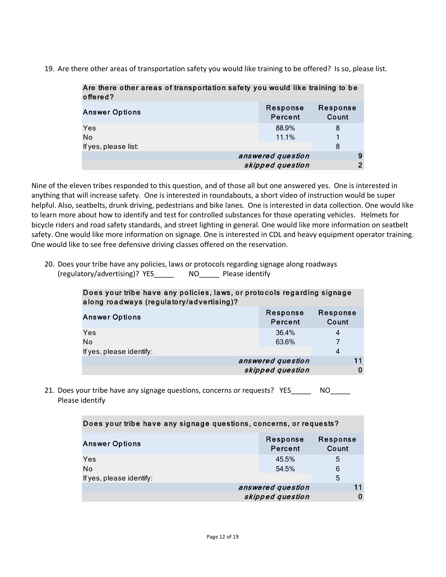19. Are there other areas of transportation safety you would like training to be offered? Is so, please list.

| Are there other areas of transportation safety you would like training to be<br>offered? |                     |                          |
|------------------------------------------------------------------------------------------|---------------------|--------------------------|
| <b>Answer Options</b>                                                                    | Response<br>Percent | <b>Response</b><br>Count |
| Yes                                                                                      | 88.9%               | 8                        |
| No                                                                                       | 11.1%               | 1                        |
| If yes, please list:                                                                     |                     | 8                        |
|                                                                                          | answered question   | 9                        |
|                                                                                          | skipped question    | $\overline{2}$           |

Nine of the eleven tribes responded to this question, and of those all but one answered yes. One is interested in anything that will increase safety. One is interested in roundabouts, a short video of instruction would be super helpful. Also, seatbelts, drunk driving, pedestrians and bike lanes. One is interested in data collection. One would like to learn more about how to identify and test for controlled substances for those operating vehicles. Helmets for bicycle riders and road safety standards, and street lighting in general. One would like more information on seatbelt safety. One would like more information on signage. One is interested in CDL and heavy equipment operator training. One would like to see free defensive driving classes offered on the reservation.

20. Does your tribe have any policies, laws or protocols regarding signage along roadways (regulatory/advertising)? YES\_\_\_\_\_ NO\_\_\_\_\_ Please identify

| Does your tribe have any policies, laws, or protocols regarding signage |  |
|-------------------------------------------------------------------------|--|
| along roadways (regulatory/advertising)?                                |  |

| -<br>. .<br><b>Answer Options</b> | Response<br>Percent | Response<br>Count |
|-----------------------------------|---------------------|-------------------|
| Yes<br>No                         | 36.4%<br>63.6%      | 4<br>7            |
| If yes, please identify:          |                     | 4                 |
|                                   | answered question   |                   |
|                                   | skipped question    | 0                 |

21. Does your tribe have any signage questions, concerns or requests? YES NO Please identify

| Does your tribe have any signage questions, concerns, or requests? |                     |                   |
|--------------------------------------------------------------------|---------------------|-------------------|
| <b>Answer Options</b>                                              | Response<br>Percent | Response<br>Count |
| Yes                                                                | 45.5%               | 5                 |
| N <sub>o</sub>                                                     | 54.5%               | 6                 |
| If yes, please identify:                                           |                     | 5                 |
|                                                                    | answered question   |                   |
|                                                                    | skipped question    |                   |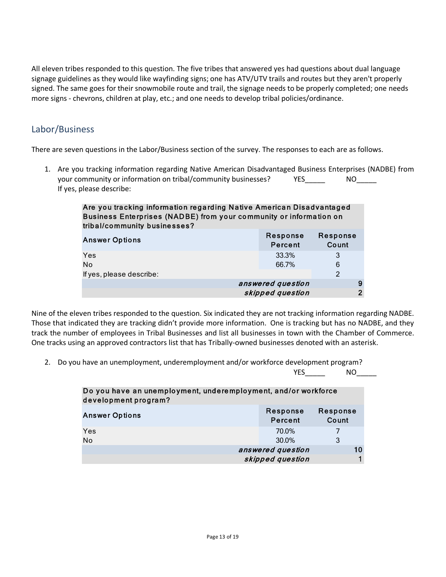All eleven tribes responded to this question. The five tribes that answered yes had questions about dual language signage guidelines as they would like wayfinding signs; one has ATV/UTV trails and routes but they aren't properly signed. The same goes for their snowmobile route and trail, the signage needs to be properly completed; one needs more signs - chevrons, children at play, etc.; and one needs to develop tribal policies/ordinance.

# Labor/Business

There are seven questions in the Labor/Business section of the survey. The responses to each are as follows.

1. Are you tracking information regarding Native American Disadvantaged Business Enterprises (NADBE) from your community or information on tribal/community businesses? The MO If yes, please describe:

| Are you tracking information regarding Native American Disadvantaged<br>Business Enterprises (NADBE) from your community or information on<br>tribal/community businesses? |                     |                          |
|----------------------------------------------------------------------------------------------------------------------------------------------------------------------------|---------------------|--------------------------|
| <b>Answer Options</b>                                                                                                                                                      | Response<br>Percent | Response<br>Count        |
| Yes<br>No<br>If yes, please describe:                                                                                                                                      | 33.3%<br>66.7%      | 3<br>6<br>$\overline{2}$ |
|                                                                                                                                                                            | answered question   | 9                        |
|                                                                                                                                                                            | skipped question    | $\overline{2}$           |

Nine of the eleven tribes responded to the question. Six indicated they are not tracking information regarding NADBE. Those that indicated they are tracking didn't provide more information. One is tracking but has no NADBE, and they track the number of employees in Tribal Businesses and list all businesses in town with the Chamber of Commerce. One tracks using an approved contractors list that has Tribally-owned businesses denoted with an asterisk.

2. Do you have an unemployment, underemployment and/or workforce development program?

YES NO

| Do you have an unemployment, underemployment, and/or workforce<br>development program? |                     |                   |    |
|----------------------------------------------------------------------------------------|---------------------|-------------------|----|
| <b>Answer Options</b>                                                                  | Response<br>Percent | Response<br>Count |    |
| Yes                                                                                    | 70.0%               |                   |    |
| <b>No</b>                                                                              | 30.0%               | 3                 |    |
|                                                                                        | answered question   |                   | 10 |
|                                                                                        | skipped question    |                   |    |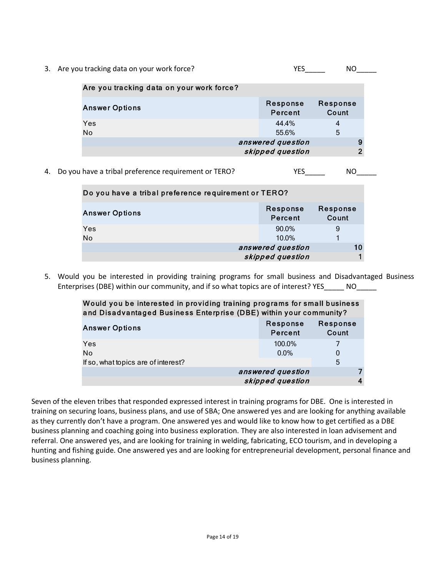3. Are you tracking data on your work force? The MOC CONSERVING MOC CONSERVING WAS A VESCONSING MOC CONSERVING

| Are you tracking data on your work force? |                     |                   |
|-------------------------------------------|---------------------|-------------------|
| <b>Answer Options</b>                     | Response<br>Percent | Response<br>Count |
| Yes                                       | 44.4%               | 4                 |
| No                                        | 55.6%               | 5                 |
| answered question                         |                     | 9                 |
|                                           | skipped question    | ົ                 |
|                                           |                     |                   |

4. Do you have a tribal preference requirement or TERO? THES THES

| Do you have a tribal preference requirement or TERO? |                     |                   |    |
|------------------------------------------------------|---------------------|-------------------|----|
| <b>Answer Options</b>                                | Response<br>Percent | Response<br>Count |    |
| Yes                                                  | 90.0%               | 9                 |    |
| <b>No</b>                                            | $10.0\%$            |                   |    |
|                                                      | answered question   |                   | 10 |
|                                                      | skipped question    |                   |    |

5. Would you be interested in providing training programs for small business and Disadvantaged Business Enterprises (DBE) within our community, and if so what topics are of interest? YES\_\_\_\_\_\_ NO\_\_\_\_\_

| Would you be interested in providing training programs for small business<br>and Disadvantaged Business Enterprise (DBE) within your community? |                     |                          |
|-------------------------------------------------------------------------------------------------------------------------------------------------|---------------------|--------------------------|
| <b>Answer Options</b>                                                                                                                           | Response<br>Percent | <b>Response</b><br>Count |
| Yes<br>N <sub>o</sub>                                                                                                                           | 100.0%<br>$0.0\%$   | 0                        |
| If so, what topics are of interest?                                                                                                             |                     | 5                        |
|                                                                                                                                                 | answered question   |                          |
|                                                                                                                                                 | skipped question    | 4                        |

Seven of the eleven tribes that responded expressed interest in training programs for DBE. One is interested in training on securing loans, business plans, and use of SBA; One answered yes and are looking for anything available as they currently don't have a program. One answered yes and would like to know how to get certified as a DBE business planning and coaching going into business exploration. They are also interested in loan advisement and referral. One answered yes, and are looking for training in welding, fabricating, ECO tourism, and in developing a hunting and fishing guide. One answered yes and are looking for entrepreneurial development, personal finance and business planning.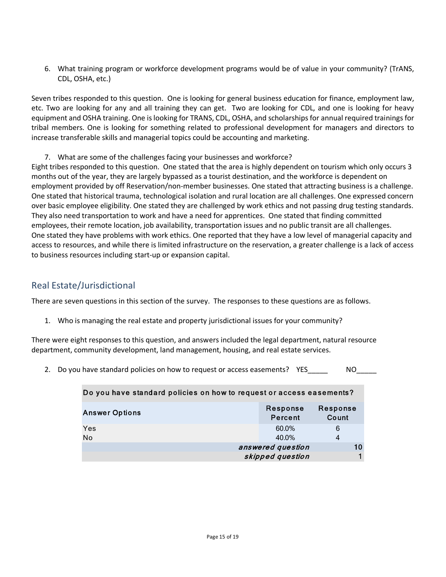6. What training program or workforce development programs would be of value in your community? (TrANS, CDL, OSHA, etc.)

Seven tribes responded to this question. One is looking for general business education for finance, employment law, etc. Two are looking for any and all training they can get. Two are looking for CDL, and one is looking for heavy equipment and OSHA training. One is looking for TRANS, CDL, OSHA, and scholarships for annual required trainings for tribal members. One is looking for something related to professional development for managers and directors to increase transferable skills and managerial topics could be accounting and marketing.

7. What are some of the challenges facing your businesses and workforce?

Eight tribes responded to this question. One stated that the area is highly dependent on tourism which only occurs 3 months out of the year, they are largely bypassed as a tourist destination, and the workforce is dependent on employment provided by off Reservation/non-member businesses. One stated that attracting business is a challenge. One stated that historical trauma, technological isolation and rural location are all challenges. One expressed concern over basic employee eligibility. One stated they are challenged by work ethics and not passing drug testing standards. They also need transportation to work and have a need for apprentices. One stated that finding committed employees, their remote location, job availability, transportation issues and no public transit are all challenges. One stated they have problems with work ethics. One reported that they have a low level of managerial capacity and access to resources, and while there is limited infrastructure on the reservation, a greater challenge is a lack of access to business resources including start-up or expansion capital.

# Real Estate/Jurisdictional

There are seven questions in this section of the survey. The responses to these questions are as follows.

1. Who is managing the real estate and property jurisdictional issues for your community?

There were eight responses to this question, and answers included the legal department, natural resource department, community development, land management, housing, and real estate services.

2. Do you have standard policies on how to request or access easements? YES MO

| Do you have standard policies on how to request or access easements? |                     |                   |
|----------------------------------------------------------------------|---------------------|-------------------|
| <b>Answer Options</b>                                                | Response<br>Percent | Response<br>Count |
| Yes                                                                  | 60.0%               | 6                 |
| <b>No</b>                                                            | 40.0%               | 4                 |
|                                                                      | answered question   | 10                |
|                                                                      | skipped question    |                   |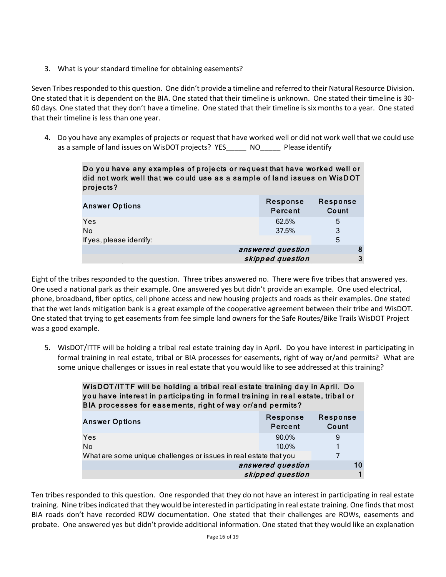3. What is your standard timeline for obtaining easements?

Seven Tribes responded to this question. One didn't provide a timeline and referred to their Natural Resource Division. One stated that it is dependent on the BIA. One stated that their timeline is unknown. One stated their timeline is 30- 60 days. One stated that they don't have a timeline. One stated that their timeline is six months to a year. One stated that their timeline is less than one year.

4. Do you have any examples of projects or request that have worked well or did not work well that we could use as a sample of land issues on WisDOT projects? YES\_\_\_\_\_ NO\_\_\_\_\_ Please identify

> Do you have any examples of projects or request that have worked well or did not work well that we could use as a sample of land issues on WisDOT p rojects?

| <b>Answer Options</b>    | Response<br>Percent | Response<br>Count |
|--------------------------|---------------------|-------------------|
| Yes                      | 62.5%               | 5                 |
| No                       | 37.5%               | 3                 |
| If yes, please identify: |                     | 5                 |
|                          | answered question   | 8                 |
|                          | skipped question    | 3                 |
|                          |                     |                   |

Eight of the tribes responded to the question. Three tribes answered no. There were five tribes that answered yes. One used a national park as their example. One answered yes but didn't provide an example. One used electrical, phone, broadband, fiber optics, cell phone access and new housing projects and roads as their examples. One stated that the wet lands mitigation bank is a great example of the cooperative agreement between their tribe and WisDOT. One stated that trying to get easements from fee simple land owners for the Safe Routes/Bike Trails WisDOT Project was a good example.

5. WisDOT/ITTF will be holding a tribal real estate training day in April. Do you have interest in participating in formal training in real estate, tribal or BIA processes for easements, right of way or/and permits? What are some unique challenges or issues in real estate that you would like to see addressed at this training?

> WisDOT/ITTF will be holding a tribal real estate training day in April. Do you have interest in participating in formal training in real estate, tribal or BIA processes for easements, right of way or/and permits?

| <b>Answer Options</b>                                             | Response<br>Percent | Response<br>Count |
|-------------------------------------------------------------------|---------------------|-------------------|
| Yes                                                               | 90.0%               | 9                 |
| No                                                                | 10.0%               | 1                 |
| What are some unique challenges or issues in real estate that you |                     |                   |
| answered question                                                 |                     | 10                |
|                                                                   | skipped question    |                   |

Ten tribes responded to this question. One responded that they do not have an interest in participating in real estate training. Nine tribes indicated that they would be interested in participating in real estate training. One finds that most BIA roads don't have recorded ROW documentation. One stated that their challenges are ROWs, easements and probate. One answered yes but didn't provide additional information. One stated that they would like an explanation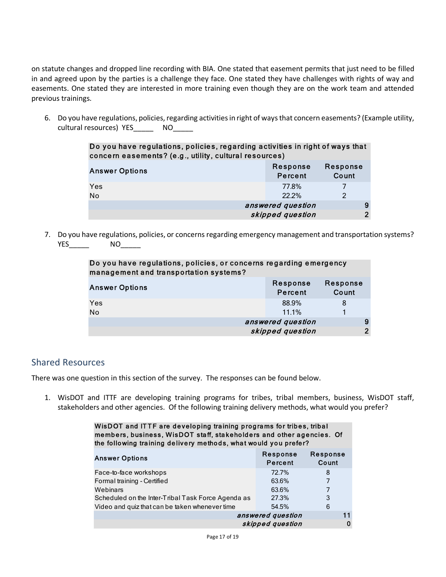on statute changes and dropped line recording with BIA. One stated that easement permits that just need to be filled in and agreed upon by the parties is a challenge they face. One stated they have challenges with rights of way and easements. One stated they are interested in more training even though they are on the work team and attended previous trainings.

6. Do you have regulations, policies, regarding activities in right of ways that concern easements? (Example utility, cultural resources) YES\_\_\_\_\_\_ NO\_\_\_\_\_

| Do you have regulations, policies, regarding activities in right of ways that<br>concern easements? (e.g., utility, cultural resources) |                     |                   |
|-----------------------------------------------------------------------------------------------------------------------------------------|---------------------|-------------------|
| <b>Answer Options</b>                                                                                                                   | Response<br>Percent | Response<br>Count |
| Yes                                                                                                                                     | 77.8%               |                   |
| No                                                                                                                                      | 22.2%               | $\mathcal{P}$     |
| answered question                                                                                                                       |                     |                   |
| skipped question                                                                                                                        |                     | ົ                 |

7. Do you have regulations, policies, or concerns regarding emergency management and transportation systems? YES\_\_\_\_\_ NO\_\_\_\_\_

| Do you have regulations, policies, or concerns regarding emergency<br>management and transportation systems? |                     |                   |
|--------------------------------------------------------------------------------------------------------------|---------------------|-------------------|
| <b>Answer Options</b>                                                                                        | Response<br>Percent | Response<br>Count |
| Yes                                                                                                          | 88.9%               | 8                 |
| No                                                                                                           | 11.1%               |                   |
| answered question                                                                                            |                     | 9                 |
|                                                                                                              | skipped question    | $\overline{2}$    |

## Shared Resources

There was one question in this section of the survey. The responses can be found below.

1. WisDOT and ITTF are developing training programs for tribes, tribal members, business, WisDOT staff, stakeholders and other agencies. Of the following training delivery methods, what would you prefer?

| WisDOT and ITTF are developing training programs for tribes, tribal<br>members, business, WisDOT staff, stakeholders and other agencies. Of<br>the following training delivery methods, what would you prefer? |                     |                   |
|----------------------------------------------------------------------------------------------------------------------------------------------------------------------------------------------------------------|---------------------|-------------------|
| <b>Answer Options</b>                                                                                                                                                                                          | Response<br>Percent | Response<br>Count |
| Face-to-face workshops                                                                                                                                                                                         | 72.7%               | 8                 |
| Formal training - Certified                                                                                                                                                                                    | 63.6%               |                   |
| Webinars                                                                                                                                                                                                       | 63.6%               |                   |
| Scheduled on the Inter-Tribal Task Force Agenda as                                                                                                                                                             | 27.3%               | 3                 |
| Video and quiz that can be taken whenever time                                                                                                                                                                 | 54.5%               | 6                 |
|                                                                                                                                                                                                                | answered question   | 11                |
|                                                                                                                                                                                                                | skipped question    |                   |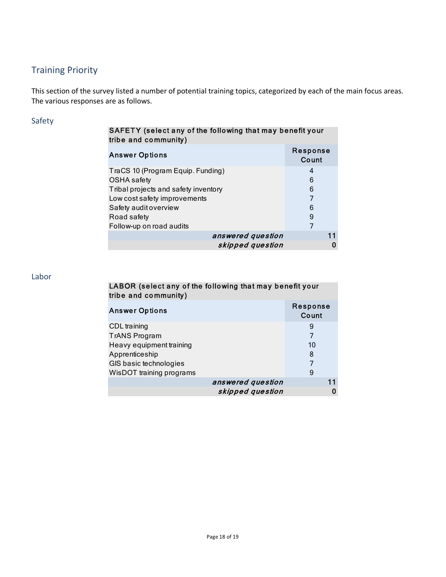# Training Priority

This section of the survey listed a number of potential training topics, categorized by each of the main focus areas. The various responses are as follows.

## Safety

## SAFETY (select any of the following that may benefit your tribe and co mmunity)

| <b>Answer Options</b>                | Response<br>Count |
|--------------------------------------|-------------------|
| TraCS 10 (Program Equip. Funding)    | 4                 |
| <b>OSHA</b> safety                   | 6                 |
| Tribal projects and safety inventory | 6                 |
| Low cost safety improvements         | 7                 |
| Safety audit overview                | 6                 |
| Road safety                          | 9                 |
| Follow-up on road audits             | 7                 |
| answered question                    |                   |
| skipped question                     | 0                 |

## Labor

## LABOR (select any of the following that may benefit your tribe and co mmunity)

| Answer Options           |                   | Response<br>Count |
|--------------------------|-------------------|-------------------|
| CDL training             |                   | 9                 |
| <b>TrANS Program</b>     |                   | 7                 |
| Heavy equipment training |                   | 10                |
| Apprenticeship           |                   | 8                 |
| GIS basic technologies   |                   |                   |
| WisDOT training programs |                   | 9                 |
|                          | answered question | 11                |
|                          | skipped question  | 0                 |